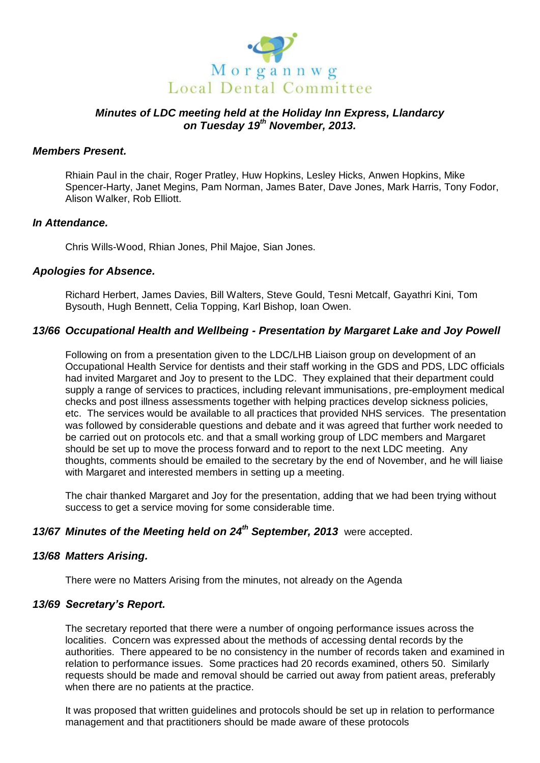

# *Minutes of LDC meeting held at the Holiday Inn Express, Llandarcy on Tuesday 19th November, 2013.*

#### *Members Present.*

Rhiain Paul in the chair, Roger Pratley, Huw Hopkins, Lesley Hicks, Anwen Hopkins, Mike Spencer-Harty, Janet Megins, Pam Norman, James Bater, Dave Jones, Mark Harris, Tony Fodor, Alison Walker, Rob Elliott.

#### *In Attendance.*

Chris Wills-Wood, Rhian Jones, Phil Majoe, Sian Jones.

#### *Apologies for Absence.*

Richard Herbert, James Davies, Bill Walters, Steve Gould, Tesni Metcalf, Gayathri Kini, Tom Bysouth, Hugh Bennett, Celia Topping, Karl Bishop, Ioan Owen.

## *13/66 Occupational Health and Wellbeing - Presentation by Margaret Lake and Joy Powell*

Following on from a presentation given to the LDC/LHB Liaison group on development of an Occupational Health Service for dentists and their staff working in the GDS and PDS, LDC officials had invited Margaret and Joy to present to the LDC. They explained that their department could supply a range of services to practices, including relevant immunisations, pre-employment medical checks and post illness assessments together with helping practices develop sickness policies, etc. The services would be available to all practices that provided NHS services. The presentation was followed by considerable questions and debate and it was agreed that further work needed to be carried out on protocols etc. and that a small working group of LDC members and Margaret should be set up to move the process forward and to report to the next LDC meeting. Any thoughts, comments should be emailed to the secretary by the end of November, and he will liaise with Margaret and interested members in setting up a meeting.

The chair thanked Margaret and Joy for the presentation, adding that we had been trying without success to get a service moving for some considerable time.

# *13/67 Minutes of the Meeting held on 24th September, 2013* were accepted.

#### *13/68 Matters Arising.*

There were no Matters Arising from the minutes, not already on the Agenda

#### *13/69 Secretary's Report.*

The secretary reported that there were a number of ongoing performance issues across the localities. Concern was expressed about the methods of accessing dental records by the authorities. There appeared to be no consistency in the number of records taken and examined in relation to performance issues. Some practices had 20 records examined, others 50. Similarly requests should be made and removal should be carried out away from patient areas, preferably when there are no patients at the practice.

It was proposed that written guidelines and protocols should be set up in relation to performance management and that practitioners should be made aware of these protocols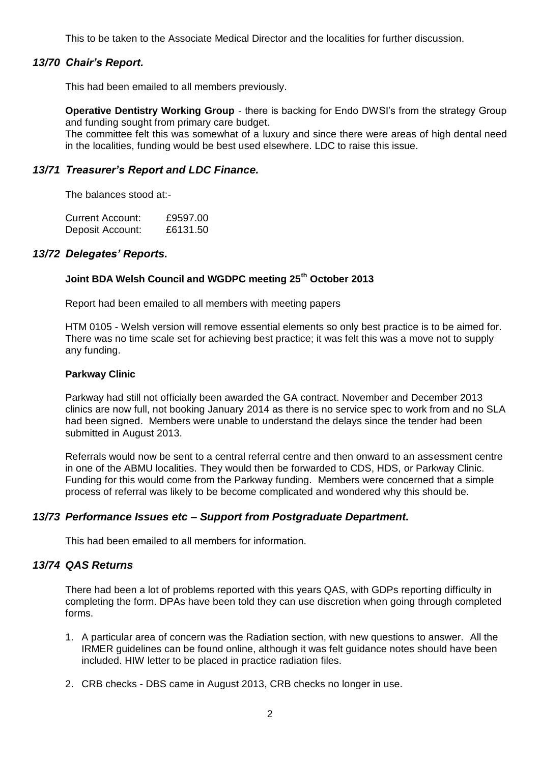This to be taken to the Associate Medical Director and the localities for further discussion.

## *13/70 Chair's Report.*

This had been emailed to all members previously.

**Operative Dentistry Working Group** - there is backing for Endo DWSI's from the strategy Group and funding sought from primary care budget.

The committee felt this was somewhat of a luxury and since there were areas of high dental need in the localities, funding would be best used elsewhere. LDC to raise this issue.

## *13/71 Treasurer's Report and LDC Finance.*

The balances stood at:-

| Current Account: | £9597.00 |
|------------------|----------|
| Deposit Account: | £6131.50 |

#### *13/72 Delegates' Reports.*

# **Joint BDA Welsh Council and WGDPC meeting 25th October 2013**

Report had been emailed to all members with meeting papers

HTM 0105 - Welsh version will remove essential elements so only best practice is to be aimed for. There was no time scale set for achieving best practice; it was felt this was a move not to supply any funding.

#### **Parkway Clinic**

Parkway had still not officially been awarded the GA contract. November and December 2013 clinics are now full, not booking January 2014 as there is no service spec to work from and no SLA had been signed. Members were unable to understand the delays since the tender had been submitted in August 2013.

Referrals would now be sent to a central referral centre and then onward to an assessment centre in one of the ABMU localities. They would then be forwarded to CDS, HDS, or Parkway Clinic. Funding for this would come from the Parkway funding. Members were concerned that a simple process of referral was likely to be become complicated and wondered why this should be.

#### *13/73 Performance Issues etc – Support from Postgraduate Department.*

This had been emailed to all members for information.

## *13/74 QAS Returns*

There had been a lot of problems reported with this years QAS, with GDPs reporting difficulty in completing the form. DPAs have been told they can use discretion when going through completed forms.

- 1. A particular area of concern was the Radiation section, with new questions to answer. All the IRMER guidelines can be found online, although it was felt guidance notes should have been included. HIW letter to be placed in practice radiation files.
- 2. CRB checks DBS came in August 2013, CRB checks no longer in use.